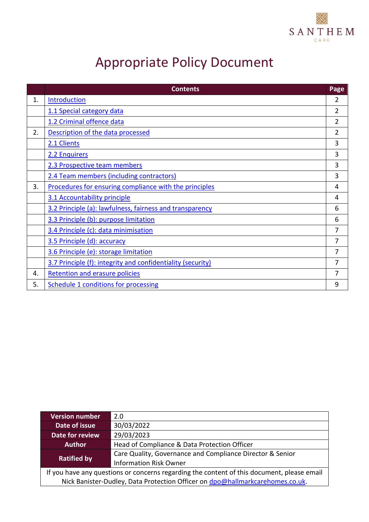

# Appropriate Policy Document

|    | <b>Contents</b>                                             | Page           |
|----|-------------------------------------------------------------|----------------|
| 1. | <b>Introduction</b>                                         | 2              |
|    | 1.1 Special category data                                   | 2              |
|    | 1.2 Criminal offence data                                   | 2              |
| 2. | Description of the data processed                           | $\overline{2}$ |
|    | 2.1 Clients                                                 | 3              |
|    | 2.2 Enquirers                                               | 3              |
|    | 2.3 Prospective team members                                | 3              |
|    | 2.4 Team members (including contractors)                    | 3              |
| 3. | Procedures for ensuring compliance with the principles      | 4              |
|    | 3.1 Accountability principle                                | 4              |
|    | 3.2 Principle (a): lawfulness, fairness and transparency    | 6              |
|    | 3.3 Principle (b): purpose limitation                       | 6              |
|    | 3.4 Principle (c): data minimisation                        | 7              |
|    | 3.5 Principle (d): accuracy                                 | 7              |
|    | 3.6 Principle (e): storage limitation                       | 7              |
|    | 3.7 Principle (f): integrity and confidentiality (security) | 7              |
| 4. | <b>Retention and erasure policies</b>                       | 7              |
| 5. | <b>Schedule 1 conditions for processing</b>                 | 9              |

| <b>Version number</b>                                                                      | 2.0                                                       |  |  |  |
|--------------------------------------------------------------------------------------------|-----------------------------------------------------------|--|--|--|
| Date of issue                                                                              | 30/03/2022                                                |  |  |  |
| 29/03/2023<br>Date for review                                                              |                                                           |  |  |  |
| Head of Compliance & Data Protection Officer<br><b>Author</b>                              |                                                           |  |  |  |
|                                                                                            | Care Quality, Governance and Compliance Director & Senior |  |  |  |
| <b>Ratified by</b>                                                                         | <b>Information Risk Owner</b>                             |  |  |  |
| If you have any questions or concerns regarding the content of this document, please email |                                                           |  |  |  |
| Nick Banister-Dudley, Data Protection Officer on dpo@hallmarkcarehomes.co.uk.              |                                                           |  |  |  |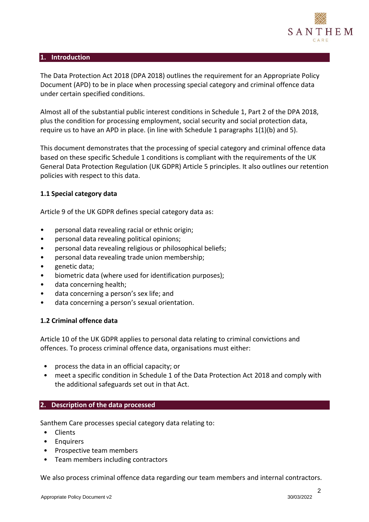

#### <span id="page-1-0"></span>**1. Introduction**

The Data Protection Act 2018 (DPA 2018) outlines the requirement for an Appropriate Policy Document (APD) to be in place when processing special category and criminal offence data under certain specified conditions.

Almost all of the substantial public interest conditions in Schedule 1, Part 2 of the DPA 2018, plus the condition for processing employment, social security and social protection data, require us to have an APD in place. (in line with Schedule 1 paragraphs  $1(1)(b)$  and 5).

This document demonstrates that the processing of special category and criminal offence data based on these specific Schedule 1 conditions is compliant with the requirements of the UK General Data Protection Regulation (UK GDPR) Article 5 principles. It also outlines our retention policies with respect to this data.

#### <span id="page-1-1"></span>**1.1 Special category data**

Article 9 of the UK GDPR defines special category data as:

- personal data revealing racial or ethnic origin;
- personal data revealing political opinions;
- personal data revealing religious or philosophical beliefs;
- personal data revealing trade union membership;
- genetic data;
- biometric data (where used for identification purposes);
- data concerning health;
- data concerning a person's sex life; and
- data concerning a person's sexual orientation.

#### <span id="page-1-2"></span>**1.2 Criminal offence data**

Article 10 of the UK GDPR applies to personal data relating to criminal convictions and offences. To process criminal offence data, organisations must either:

- process the data in an official capacity; or
- meet a specific condition in Schedule 1 of the Data Protection Act 2018 and comply with the additional safeguards set out in that Act.

#### <span id="page-1-3"></span>**2. Description of the data processed**

Santhem Care processes special category data relating to:

- Clients
- Enquirers
- Prospective team members
- Team members including contractors

We also process criminal offence data regarding our team members and internal contractors.

2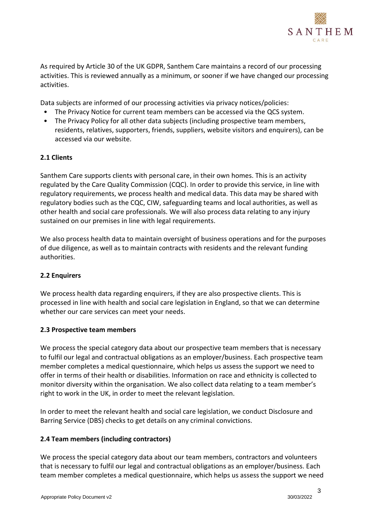

As required by Article 30 of the UK GDPR, Santhem Care maintains a record of our processing activities. This is reviewed annually as a minimum, or sooner if we have changed our processing activities.

Data subjects are informed of our processing activities via privacy notices/policies:

- The Privacy Notice for current team members can be accessed via the QCS system.
- The Privacy Policy for all other data subjects (including prospective team members, residents, relatives, supporters, friends, suppliers, website visitors and enquirers), can be accessed via our website.

## <span id="page-2-0"></span>**2.1 Clients**

Santhem Care supports clients with personal care, in their own homes. This is an activity regulated by the Care Quality Commission (CQC). In order to provide this service, in line with regulatory requirements, we process health and medical data. This data may be shared with regulatory bodies such as the CQC, CIW, safeguarding teams and local authorities, as well as other health and social care professionals. We will also process data relating to any injury sustained on our premises in line with legal requirements.

We also process health data to maintain oversight of business operations and for the purposes of due diligence, as well as to maintain contracts with residents and the relevant funding authorities.

# <span id="page-2-1"></span>**2.2 Enquirers**

We process health data regarding enquirers, if they are also prospective clients. This is processed in line with health and social care legislation in England, so that we can determine whether our care services can meet your needs.

#### <span id="page-2-2"></span>**2.3 Prospective team members**

We process the special category data about our prospective team members that is necessary to fulfil our legal and contractual obligations as an employer/business. Each prospective team member completes a medical questionnaire, which helps us assess the support we need to offer in terms of their health or disabilities. Information on race and ethnicity is collected to monitor diversity within the organisation. We also collect data relating to a team member's right to work in the UK, in order to meet the relevant legislation.

In order to meet the relevant health and social care legislation, we conduct Disclosure and Barring Service (DBS) checks to get details on any criminal convictions.

#### <span id="page-2-3"></span>**2.4 Team members (including contractors)**

We process the special category data about our team members, contractors and volunteers that is necessary to fulfil our legal and contractual obligations as an employer/business. Each team member completes a medical questionnaire, which helps us assess the support we need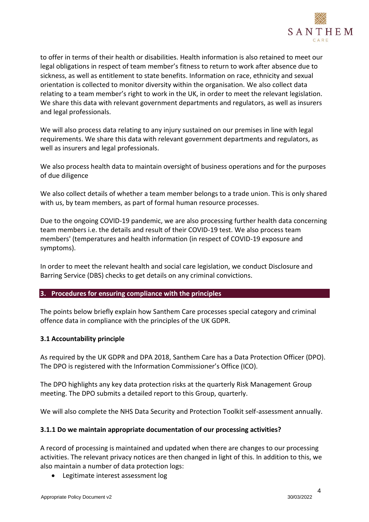

to offer in terms of their health or disabilities. Health information is also retained to meet our legal obligations in respect of team member's fitness to return to work after absence due to sickness, as well as entitlement to state benefits. Information on race, ethnicity and sexual orientation is collected to monitor diversity within the organisation. We also collect data relating to a team member's right to work in the UK, in order to meet the relevant legislation. We share this data with relevant government departments and regulators, as well as insurers and legal professionals.

We will also process data relating to any injury sustained on our premises in line with legal requirements. We share this data with relevant government departments and regulators, as well as insurers and legal professionals.

We also process health data to maintain oversight of business operations and for the purposes of due diligence

We also collect details of whether a team member belongs to a trade union. This is only shared with us, by team members, as part of formal human resource processes.

Due to the ongoing COVID-19 pandemic, we are also processing further health data concerning team members i.e. the details and result of their COVID-19 test. We also process team members' (temperatures and health information (in respect of COVID-19 exposure and symptoms).

In order to meet the relevant health and social care legislation, we conduct Disclosure and Barring Service (DBS) checks to get details on any criminal convictions.

#### <span id="page-3-0"></span>**3. Procedures for ensuring compliance with the principles**

The points below briefly explain how Santhem Care processes special category and criminal offence data in compliance with the principles of the UK GDPR.

#### <span id="page-3-1"></span>**3.1 Accountability principle**

As required by the UK GDPR and DPA 2018, Santhem Care has a Data Protection Officer (DPO). The DPO is registered with the Information Commissioner's Office (ICO).

The DPO highlights any key data protection risks at the quarterly Risk Management Group meeting. The DPO submits a detailed report to this Group, quarterly.

We will also complete the NHS Data Security and Protection Toolkit self-assessment annually.

#### **3.1.1 Do we maintain appropriate documentation of our processing activities?**

A record of processing is maintained and updated when there are changes to our processing activities. The relevant privacy notices are then changed in light of this. In addition to this, we also maintain a number of data protection logs:

• Legitimate interest assessment log

4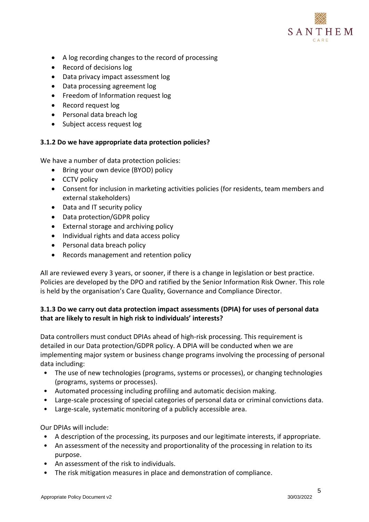

- A log recording changes to the record of processing
- Record of decisions log
- Data privacy impact assessment log
- Data processing agreement log
- Freedom of Information request log
- Record request log
- Personal data breach log
- Subject access request log

#### **3.1.2 Do we have appropriate data protection policies?**

We have a number of data protection policies:

- Bring your own device (BYOD) policy
- CCTV policy
- Consent for inclusion in marketing activities policies (for residents, team members and external stakeholders)
- Data and IT security policy
- Data protection/GDPR policy
- External storage and archiving policy
- Individual rights and data access policy
- Personal data breach policy
- Records management and retention policy

All are reviewed every 3 years, or sooner, if there is a change in legislation or best practice. Policies are developed by the DPO and ratified by the Senior Information Risk Owner. This role is held by the organisation's Care Quality, Governance and Compliance Director.

# **3.1.3 Do we carry out data protection impact assessments (DPIA) for uses of personal data that are likely to result in high risk to individuals' interests?**

Data controllers must conduct DPIAs ahead of high-risk processing. This requirement is detailed in our Data protection/GDPR policy. A DPIA will be conducted when we are implementing major system or business change programs involving the processing of personal data including:

- The use of new technologies (programs, systems or processes), or changing technologies (programs, systems or processes).
- Automated processing including profiling and automatic decision making.
- Large-scale processing of special categories of personal data or criminal convictions data.
- Large-scale, systematic monitoring of a publicly accessible area.

Our DPIAs will include:

- A description of the processing, its purposes and our legitimate interests, if appropriate.
- An assessment of the necessity and proportionality of the processing in relation to its purpose.
- An assessment of the risk to individuals.
- The risk mitigation measures in place and demonstration of compliance.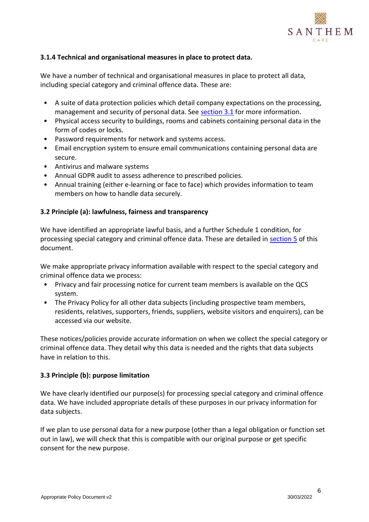

## **3.1.4 Technical and organisational measures in place to protect data.**

We have a number of technical and organisational measures in place to protect all data, including special category and criminal offence data. These are:

- A suite of data protection policies which detail company expectations on the processing, management and security of personal data. See [section 3.1](#page-3-1) for more information.
- Physical access security to buildings, rooms and cabinets containing personal data in the form of codes or locks.
- Password requirements for network and systems access.
- Email encryption system to ensure email communications containing personal data are secure.
- Antivirus and malware systems
- Annual GDPR audit to assess adherence to prescribed policies.
- Annual training (either e-learning or face to face) which provides information to team members on how to handle data securely.

#### <span id="page-5-0"></span>**3.2 Principle (a): lawfulness, fairness and transparency**

We have identified an appropriate lawful basis, and a further Schedule 1 condition, for processing special category and criminal offence data. These are detailed in [section 5](#page-8-0) of this document.

We make appropriate privacy information available with respect to the special category and criminal offence data we process:

- Privacy and fair processing notice for current team members is available on the QCS system.
- The Privacy Policy for all other data subjects (including prospective team members, residents, relatives, supporters, friends, suppliers, website visitors and enquirers), can be accessed via our website.

These notices/policies provide accurate information on when we collect the special category or criminal offence data. They detail why this data is needed and the rights that data subjects have in relation to this.

#### <span id="page-5-1"></span>**3.3 Principle (b): purpose limitation**

We have clearly identified our purpose(s) for processing special category and criminal offence data. We have included appropriate details of these purposes in our privacy information for data subjects.

If we plan to use personal data for a new purpose (other than a legal obligation or function set out in law), we will check that this is compatible with our original purpose or get specific consent for the new purpose.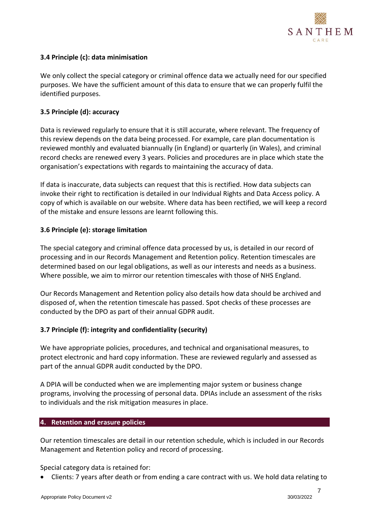

## <span id="page-6-0"></span>**3.4 Principle (c): data minimisation**

We only collect the special category or criminal offence data we actually need for our specified purposes. We have the sufficient amount of this data to ensure that we can properly fulfil the identified purposes.

#### <span id="page-6-1"></span>**3.5 Principle (d): accuracy**

Data is reviewed regularly to ensure that it is still accurate, where relevant. The frequency of this review depends on the data being processed. For example, care plan documentation is reviewed monthly and evaluated biannually (in England) or quarterly (in Wales), and criminal record checks are renewed every 3 years. Policies and procedures are in place which state the organisation's expectations with regards to maintaining the accuracy of data.

If data is inaccurate, data subjects can request that this is rectified. How data subjects can invoke their right to rectification is detailed in our Individual Rights and Data Access policy. A copy of which is available on our website. Where data has been rectified, we will keep a record of the mistake and ensure lessons are learnt following this.

## <span id="page-6-2"></span>**3.6 Principle (e): storage limitation**

The special category and criminal offence data processed by us, is detailed in our record of processing and in our Records Management and Retention policy. Retention timescales are determined based on our legal obligations, as well as our interests and needs as a business. Where possible, we aim to mirror our retention timescales with those of NHS England.

Our Records Management and Retention policy also details how data should be archived and disposed of, when the retention timescale has passed. Spot checks of these processes are conducted by the DPO as part of their annual GDPR audit.

#### <span id="page-6-3"></span>**3.7 Principle (f): integrity and confidentiality (security)**

We have appropriate policies, procedures, and technical and organisational measures, to protect electronic and hard copy information. These are reviewed regularly and assessed as part of the annual GDPR audit conducted by the DPO.

A DPIA will be conducted when we are implementing major system or business change programs, involving the processing of personal data. DPIAs include an assessment of the risks to individuals and the risk mitigation measures in place.

#### <span id="page-6-4"></span>**4. Retention and erasure policies**

Our retention timescales are detail in our retention schedule, which is included in our Records Management and Retention policy and record of processing.

Special category data is retained for:

• Clients: 7 years after death or from ending a care contract with us. We hold data relating to

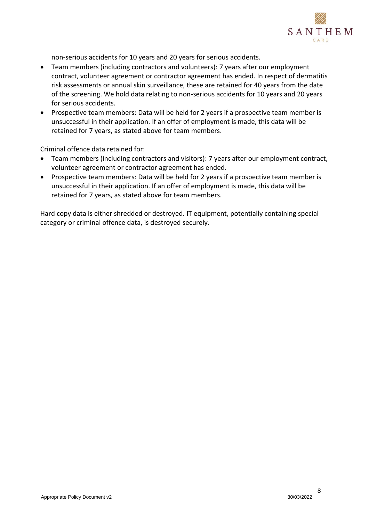

non-serious accidents for 10 years and 20 years for serious accidents.

- Team members (including contractors and volunteers): 7 years after our employment contract, volunteer agreement or contractor agreement has ended. In respect of dermatitis risk assessments or annual skin surveillance, these are retained for 40 years from the date of the screening. We hold data relating to non-serious accidents for 10 years and 20 years for serious accidents.
- Prospective team members: Data will be held for 2 years if a prospective team member is unsuccessful in their application. If an offer of employment is made, this data will be retained for 7 years, as stated above for team members.

Criminal offence data retained for:

- Team members (including contractors and visitors): 7 years after our employment contract, volunteer agreement or contractor agreement has ended.
- Prospective team members: Data will be held for 2 years if a prospective team member is unsuccessful in their application. If an offer of employment is made, this data will be retained for 7 years, as stated above for team members.

Hard copy data is either shredded or destroyed. IT equipment, potentially containing special category or criminal offence data, is destroyed securely.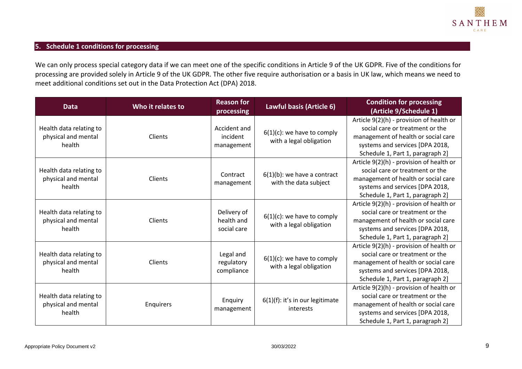

# **5. Schedule 1 conditions for processing**

We can only process special category data if we can meet one of the specific conditions in Article 9 of the UK GDPR. Five of the conditions for processing are provided solely in Article 9 of the UK GDPR. The other five require authorisation or a basis in UK law, which means we need to meet additional conditions set out in the Data Protection Act (DPA) 2018.

<span id="page-8-0"></span>

| <b>Data</b>                                              | Who it relates to | <b>Reason for</b><br>processing          | Lawful basis (Article 6)                                 | <b>Condition for processing</b><br>(Article 9/Schedule 1)                                                                                                                                 |
|----------------------------------------------------------|-------------------|------------------------------------------|----------------------------------------------------------|-------------------------------------------------------------------------------------------------------------------------------------------------------------------------------------------|
| Health data relating to<br>physical and mental<br>health | Clients           | Accident and<br>incident<br>management   | $6(1)(c)$ : we have to comply<br>with a legal obligation | Article 9(2)(h) - provision of health or<br>social care or treatment or the<br>management of health or social care<br>systems and services [DPA 2018,<br>Schedule 1, Part 1, paragraph 2] |
| Health data relating to<br>physical and mental<br>health | Clients           | Contract<br>management                   | $6(1)(b)$ : we have a contract<br>with the data subject  | Article 9(2)(h) - provision of health or<br>social care or treatment or the<br>management of health or social care<br>systems and services [DPA 2018,<br>Schedule 1, Part 1, paragraph 2] |
| Health data relating to<br>physical and mental<br>health | Clients           | Delivery of<br>health and<br>social care | $6(1)(c)$ : we have to comply<br>with a legal obligation | Article 9(2)(h) - provision of health or<br>social care or treatment or the<br>management of health or social care<br>systems and services [DPA 2018,<br>Schedule 1, Part 1, paragraph 2] |
| Health data relating to<br>physical and mental<br>health | Clients           | Legal and<br>regulatory<br>compliance    | $6(1)(c)$ : we have to comply<br>with a legal obligation | Article 9(2)(h) - provision of health or<br>social care or treatment or the<br>management of health or social care<br>systems and services [DPA 2018,<br>Schedule 1, Part 1, paragraph 2] |
| Health data relating to<br>physical and mental<br>health | Enquirers         | Enquiry<br>management                    | $6(1)(f)$ : it's in our legitimate<br>interests          | Article 9(2)(h) - provision of health or<br>social care or treatment or the<br>management of health or social care<br>systems and services [DPA 2018,<br>Schedule 1, Part 1, paragraph 2] |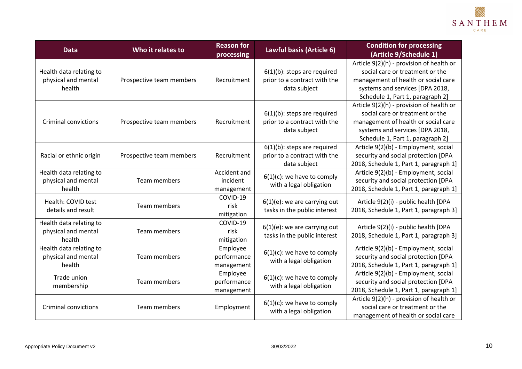

| <b>Data</b>                                              | Who it relates to        | <b>Reason for</b><br>processing        | Lawful basis (Article 6)                                                       | <b>Condition for processing</b><br>(Article 9/Schedule 1)                                                                                                                                 |
|----------------------------------------------------------|--------------------------|----------------------------------------|--------------------------------------------------------------------------------|-------------------------------------------------------------------------------------------------------------------------------------------------------------------------------------------|
| Health data relating to<br>physical and mental<br>health | Prospective team members | Recruitment                            | $6(1)(b)$ : steps are required<br>prior to a contract with the<br>data subject | Article 9(2)(h) - provision of health or<br>social care or treatment or the<br>management of health or social care<br>systems and services [DPA 2018,<br>Schedule 1, Part 1, paragraph 2] |
| <b>Criminal convictions</b>                              | Prospective team members | Recruitment                            | $6(1)(b)$ : steps are required<br>prior to a contract with the<br>data subject | Article 9(2)(h) - provision of health or<br>social care or treatment or the<br>management of health or social care<br>systems and services [DPA 2018,<br>Schedule 1, Part 1, paragraph 2] |
| Racial or ethnic origin                                  | Prospective team members | Recruitment                            | $6(1)(b)$ : steps are required<br>prior to a contract with the<br>data subject | Article 9(2)(b) - Employment, social<br>security and social protection [DPA<br>2018, Schedule 1, Part 1, paragraph 1]                                                                     |
| Health data relating to<br>physical and mental<br>health | Team members             | Accident and<br>incident<br>management | $6(1)(c)$ : we have to comply<br>with a legal obligation                       | Article 9(2)(b) - Employment, social<br>security and social protection [DPA<br>2018, Schedule 1, Part 1, paragraph 1]                                                                     |
| Health: COVID test<br>details and result                 | Team members             | COVID-19<br>risk<br>mitigation         | $6(1)(e)$ : we are carrying out<br>tasks in the public interest                | Article 9(2)(i) - public health [DPA<br>2018, Schedule 1, Part 1, paragraph 3]                                                                                                            |
| Health data relating to<br>physical and mental<br>health | Team members             | COVID-19<br>risk<br>mitigation         | $6(1)(e)$ : we are carrying out<br>tasks in the public interest                | Article 9(2)(i) - public health [DPA<br>2018, Schedule 1, Part 1, paragraph 3]                                                                                                            |
| Health data relating to<br>physical and mental<br>health | Team members             | Employee<br>performance<br>management  | $6(1)(c)$ : we have to comply<br>with a legal obligation                       | Article 9(2)(b) - Employment, social<br>security and social protection [DPA<br>2018, Schedule 1, Part 1, paragraph 1]                                                                     |
| Trade union<br>membership                                | Team members             | Employee<br>performance<br>management  | $6(1)(c)$ : we have to comply<br>with a legal obligation                       | Article 9(2)(b) - Employment, social<br>security and social protection [DPA<br>2018, Schedule 1, Part 1, paragraph 1]                                                                     |
| <b>Criminal convictions</b>                              | Team members             | Employment                             | $6(1)(c)$ : we have to comply<br>with a legal obligation                       | Article 9(2)(h) - provision of health or<br>social care or treatment or the<br>management of health or social care                                                                        |